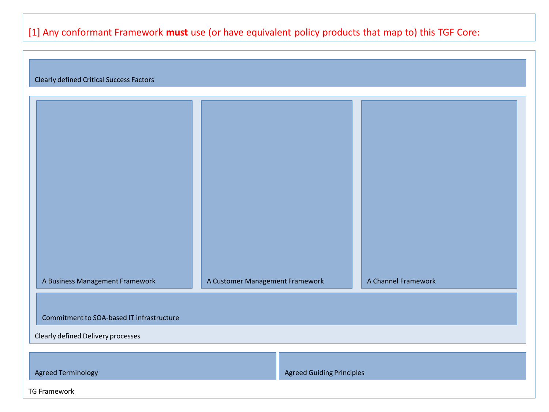### [1] Any conformant Framework **must** use (or have equivalent policy products that map to) this TGF Core:

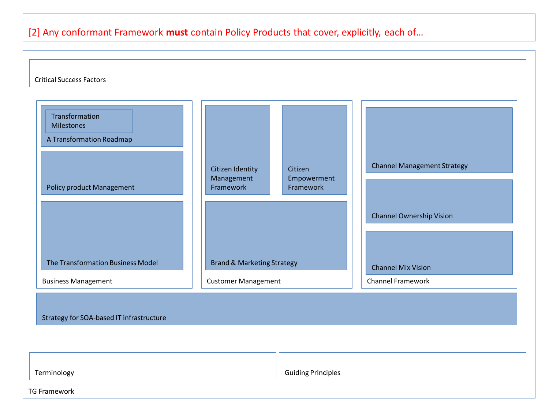## [2] Any conformant Framework **must** contain Policy Products that cover, explicitly, each of…

| <b>Critical Success Factors</b>                                                                                                   |                                                                                      |                                     |                                                                                                    |  |  |  |  |
|-----------------------------------------------------------------------------------------------------------------------------------|--------------------------------------------------------------------------------------|-------------------------------------|----------------------------------------------------------------------------------------------------|--|--|--|--|
| Transformation<br>Milestones<br>A Transformation Roadmap<br><b>Policy product Management</b><br>The Transformation Business Model | Citizen Identity<br>Management<br>Framework<br><b>Brand &amp; Marketing Strategy</b> | Citizen<br>Empowerment<br>Framework | <b>Channel Management Strategy</b><br><b>Channel Ownership Vision</b><br><b>Channel Mix Vision</b> |  |  |  |  |
| <b>Business Management</b>                                                                                                        | <b>Customer Management</b>                                                           |                                     | Channel Framework                                                                                  |  |  |  |  |
| Strategy for SOA-based IT infrastructure                                                                                          |                                                                                      |                                     |                                                                                                    |  |  |  |  |
| Terminology<br><b>TG Framework</b>                                                                                                |                                                                                      | <b>Guiding Principles</b>           |                                                                                                    |  |  |  |  |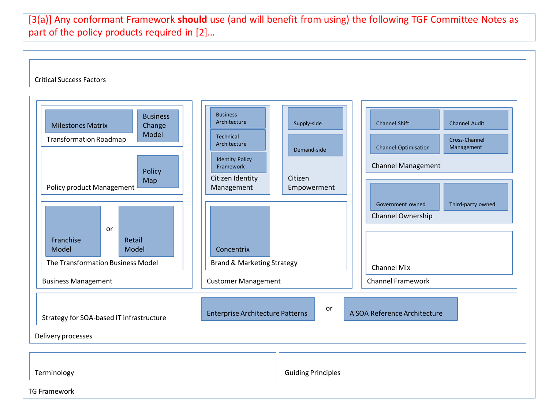[3(a)] Any conformant Framework **should** use (and will benefit from using) the following TGF Committee Notes as part of the policy products required in [2]...

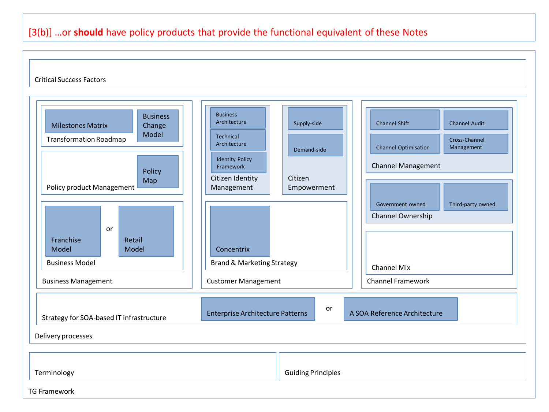### [3(b)] …or **should** have policy products that provide the functional equivalent of these Notes

#### Critical Success Factors

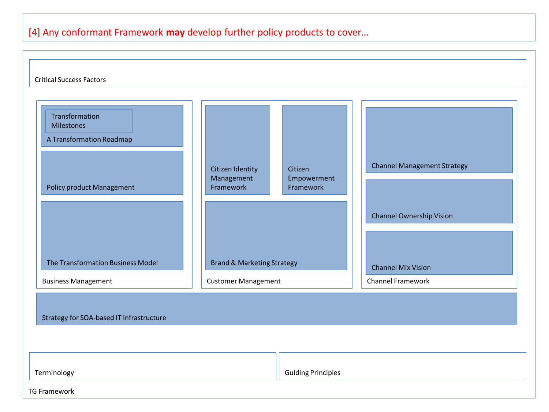## [4] Any conformant Framework **may** develop further policy products to cover…

| <b>Critical Success Factors</b>                                                                                                   |                                                                                      |                                     |                                                                                                    |  |  |  |  |
|-----------------------------------------------------------------------------------------------------------------------------------|--------------------------------------------------------------------------------------|-------------------------------------|----------------------------------------------------------------------------------------------------|--|--|--|--|
| Transformation<br><b>Milestones</b><br>A Transformation Roadmap<br>Policy product Management<br>The Transformation Business Model | Citizen Identity<br>Management<br>Framework<br><b>Brand &amp; Marketing Strategy</b> | Citizen<br>Empowerment<br>Framework | <b>Channel Management Strategy</b><br><b>Channel Ownership Vision</b><br><b>Channel Mix Vision</b> |  |  |  |  |
| <b>Business Management</b>                                                                                                        | <b>Customer Management</b>                                                           |                                     | Channel Framework                                                                                  |  |  |  |  |
| Strategy for SOA-based IT infrastructure                                                                                          |                                                                                      |                                     |                                                                                                    |  |  |  |  |
| Terminology                                                                                                                       |                                                                                      | <b>Guiding Principles</b>           |                                                                                                    |  |  |  |  |
| <b>TG Framework</b>                                                                                                               |                                                                                      |                                     |                                                                                                    |  |  |  |  |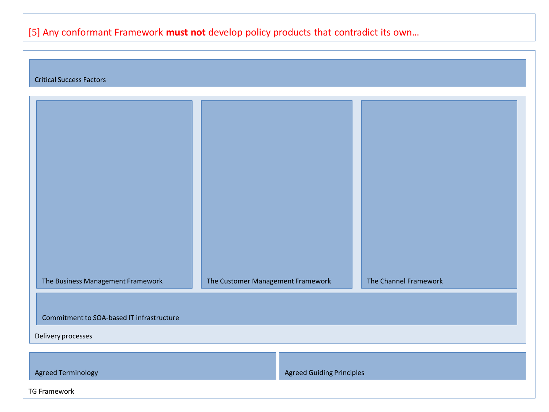# [5] Any conformant Framework **must not** develop policy products that contradict its own…

| <b>Critical Success Factors</b>           |                                   |                                  |                       |  |  |  |  |
|-------------------------------------------|-----------------------------------|----------------------------------|-----------------------|--|--|--|--|
|                                           |                                   |                                  |                       |  |  |  |  |
| The Business Management Framework         | The Customer Management Framework |                                  | The Channel Framework |  |  |  |  |
| Commitment to SOA-based IT infrastructure |                                   |                                  |                       |  |  |  |  |
| Delivery processes                        |                                   |                                  |                       |  |  |  |  |
|                                           |                                   |                                  |                       |  |  |  |  |
| <b>Agreed Terminology</b>                 |                                   | <b>Agreed Guiding Principles</b> |                       |  |  |  |  |
| <b>TG Framework</b>                       |                                   |                                  |                       |  |  |  |  |